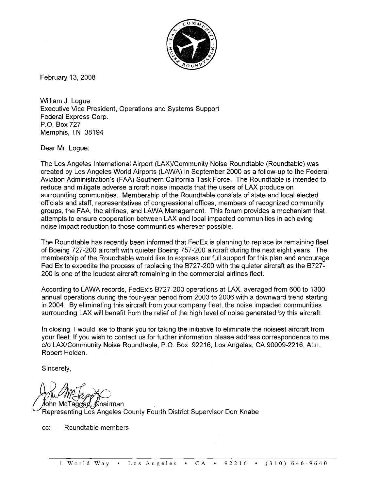

February 13, 2008

William J. Logue Executive Vice President, Operations and Systems Support Federal Express Corp. P.O. Box 727 Memphis, TN 38194

Dear Mr. Logue:

The Los Angeles International Airport (LAX)/Community Noise Roundtable (Roundtable) was created by Los Angeles World Airports (LAWA) in September 2000 as a follow-up to the Federal Aviation Administration's (FAA) Southern California Task Force. The Roundtable is intended to reduce and mitigate adverse aircraft noise impacts that the users of LAX produce on surrounding communities. Membership of the Roundtable consists of state and local elected officials and staff, representatives of congressional offices, members of recognized community groups, the FAA, the airlines, and LAWA Management. This forum provides a mechanism that attempts to ensure cooperation between LAX and local impacted communities in achieving noise impact reduction to those communities wherever possible.

The Roundtable has recently been informed that FedEx is planning to replace its remaining fleet of Boeing 727-200 aircraft with quieter Boeing 757-200 aircraft during the next eight years. The membership of the Roundtable would like to express our full support for this plan and encourage Fed Ex to expedite the process of replacing the 6727-200 with the quieter aircraft as the 6727- 200 is one of the loudest aircraft remaining in the commercial airlines fleet.

According to LAWA records, FedEx's B727-200 operations at LAX, averaged from 600 to 1300 annual operations during the four-year period from 2003 to 2006 with a downward trend starting in 2004. By eliminating this aircraft from your company fleet, the noise impacted communities surrounding LAX will benefit from the relief of the high level of noise generated by this aircraft.

In closing, I would like to thank you for taking the initiative to eliminate the noisiest aircraft from your fleet. If you wish to contact us for further information please address correspondence to me c/o LAX/Community Noise Roundtable, P.O. Box 92216, Los Angeles, CA 90009-2216, Attn. Robert Holden.

Sincerely,

lohn McTaggan, *f*⁄zhairman Representing Los Angeles County Fourth District Supervisor Don Knabe

cc: Roundtable members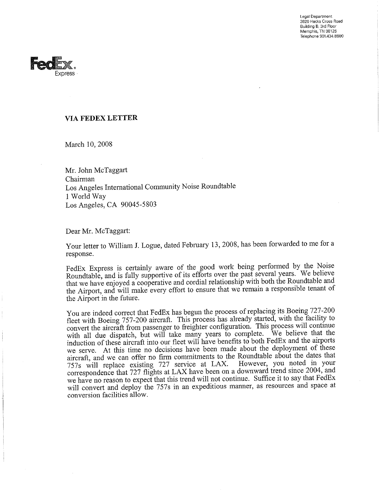Legal Department 3620 Hacks Cross Road Building B, 3rd Floor Memphis, TN 38125 Telephone 901.434.8600



## **VIA FEDEX LETTER**

March 10, 2008

Mr. John McTaggart Chairman Los Angeles International Community Noise Roundtable 1 World Way Los Angeles, CA 90045-5803

Dear Mr. McTaggart:

Your letter to William J. Logue, dated February 13, 2008, has been forwarded to me for a response.

FedEx Express is certainly aware of the good work being performed by the Noise Roundtable, and is fully supportive of its efforts over the past several years. We believe that we have enjoyed a cooperative and cordial relationship with both the Roundtable and the Airport, and will make every effort to ensure that we remain a responsible tenant of the Airport in the future.

You are indeed correct that FedEx has begun the process of replacing its Boeing 727-200 fleet with Boeing 757-200 aircraft. This process has already started, with the facility to convert the aircraft from passenger to freighter configuration. This process will continue with all due dispatch, but will take many years to complete. We believe that the induction of these aircraft into our fleet will have benefits to both FedEx and the airports we serve. At this time no decisions have been made about the deployment of these aircraft, and we can offer no firm commitments to the Roundtable about the dates that 757s will replace existing 727 service at LAX. However, you noted in your correspondence that 727 flights at LAX have been on a downward trend since 2004, and we have no reason to expect that this trend will not continue. Suffice it to say that FedEx will convert and deploy the 757s in an expeditious manner, as resources and space at conversion facilities allow.